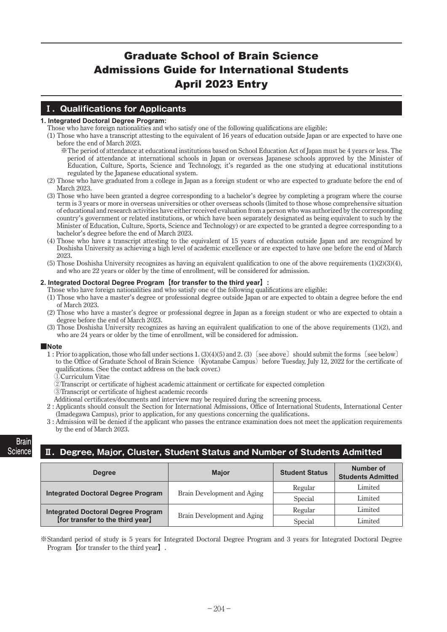# Graduate School of Brain Science Admissions Guide for International Students April 2023 Entry

## **Ⅰ.Qualifications for Applicants**

### **1. Integrated Doctoral Degree Program:**

- Those who have foreign nationalities and who satisfy one of the following qualifications are eligible:
- (1) Those who have a transcript attesting to the equivalent of 16 years of education outside Japan or are expected to have one before the end of March 2023.
	- ※ The period of attendance at educational institutions based on School Education Act of Japan must be 4 years or less. The period of attendance at international schools in Japan or overseas Japanese schools approved by the Minister of Education, Culture, Sports, Science and Technology, it's regarded as the one studying at educational institutions regulated by the Japanese educational system.
- (2) Those who have graduated from a college in Japan as a foreign student or who are expected to graduate before the end of March 2023.
- (3) Those who have been granted a degree corresponding to a bachelor's degree by completing a program where the course term is 3 years or more in overseas universities or other overseas schools (limited to those whose comprehensive situation of educational and research activities have either received evaluation from a person who was authorized by the corresponding country's government or related institutions, or which have been separately designated as being equivalent to such by the Minister of Education, Culture, Sports, Science and Technology) or are expected to be granted a degree corresponding to a bachelor's degree before the end of March 2023.
- (4) Those who have a transcript attesting to the equivalent of 15 years of education outside Japan and are recognized by Doshisha University as achieving a high level of academic excellence or are expected to have one before the end of March 2023.
- (5) Those Doshisha University recognizes as having an equivalent qualification to one of the above requirements  $(1)(2)(3)(4)$ , and who are 22 years or older by the time of enrollment, will be considered for admission.

## **2. Integrated Doctoral Degree Program【for transfer to the third year】:**

Those who have foreign nationalities and who satisfy one of the following qualifications are eligible:

- (1) Those who have a master's degree or professional degree outside Japan or are expected to obtain a degree before the end of March 2023.
- (2) Those who have a master's degree or professional degree in Japan as a foreign student or who are expected to obtain a degree before the end of March 2023.
- (3) Those Doshisha University recognizes as having an equivalent qualification to one of the above requirements (1)(2), and who are 24 years or older by the time of enrollment, will be considered for admission.

### **■Note**

- 1 : Prior to application, those who fall under sections 1. (3)(4)(5) and 2. (3)〔see above〕should submit the forms〔see below〕 to the Office of Graduate School of Brain Science (Kyotanabe Campus) before Tuesday, July 12, 2022 for the certificate of qualifications. (See the contact address on the back cover.)
	- ①Curriculum Vitae
	- ② Transcript or certificate of highest academic attainment or certificate for expected completion
	- ③ Transcript or certificate of highest academic records
	- Additional certificates/documents and interview may be required during the screening process.
- 2 : Applicants should consult the Section for International Admissions, Office of International Students, International Center (Imadegawa Campus), prior to application, for any questions concerning the qualifications.
- 3 : Admission will be denied if the applicant who passes the entrance examination does not meet the application requirements by the end of March 2023.

## **Brain Science**

## **Ⅱ.Degree, Major, Cluster, Student Status and Number of Students Admitted**

| <b>Degree</b>                                                                 | <b>Major</b>                |         | Number of<br><b>Students Admitted</b> |  |
|-------------------------------------------------------------------------------|-----------------------------|---------|---------------------------------------|--|
| <b>Integrated Doctoral Degree Program</b>                                     |                             | Regular | Limited                               |  |
|                                                                               | Brain Development and Aging | Special | Limited                               |  |
| <b>Integrated Doctoral Degree Program</b><br>[for transfer to the third year] |                             | Regular | Limited                               |  |
|                                                                               | Brain Development and Aging | Special | Limited                               |  |

※ Standard period of study is 5 years for Integrated Doctoral Degree Program and 3 years for Integrated Doctoral Degree Program *l* for transfer to the third year.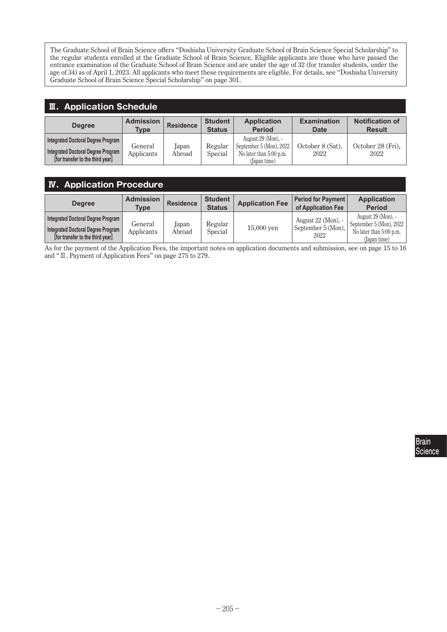The Graduate School of Brain Science offers "Doshisha University Graduate School of Brain Science Special Scholarship" to the regular students enrolled at the Graduate School of Brain Science. Eligible applicants are those who have passed the entrance examination of the Graduate School of Brain Science and are under the age of 32 (for transfer students, under the age of 34) as of April 1, 2023. All applicants who meet these requirements are eligible. For details, see "Doshisha University Graduate School of Brain Science Special Scholarship" on page 301.

## **Ⅲ.Application Schedule**

| <b>Degree</b>                                                          | <b>Admission</b><br><b>Type</b> | <b>Residence</b> | <b>Student</b><br><b>Status</b> | <b>Application</b><br><b>Period</b>           | <b>Examination</b><br>Date | <b>Notification of</b><br><b>Result</b> |
|------------------------------------------------------------------------|---------------------------------|------------------|---------------------------------|-----------------------------------------------|----------------------------|-----------------------------------------|
| Integrated Doctoral Degree Program                                     | General                         | Japan            | Regular                         | August 29 (Mon), -<br>September 5 (Mon), 2022 | October 8 (Sat),           | October 28 (Fri).                       |
| Integrated Doctoral Degree Program<br>[for transfer to the third year] | Applicants                      | Abroad           | Special                         | No later than 5:00 p.m.<br>(Japan time)       | 2022                       | 2022                                    |

# **Ⅳ.Application Procedure**

| <b>Degree</b>                                                          | <b>Admission</b><br><b>Type</b> | <b>Residence</b> | <b>Student</b><br><b>Status</b> | <b>Application Fee</b> | <b>Period for Payment</b><br>of Application Fee | <b>Application</b><br><b>Period</b>           |
|------------------------------------------------------------------------|---------------------------------|------------------|---------------------------------|------------------------|-------------------------------------------------|-----------------------------------------------|
| Integrated Doctoral Degree Program                                     | General                         | Japan            | Regular                         |                        | August 22 (Mon), -                              | August 29 (Mon), -<br>September 5 (Mon), 2022 |
| Integrated Doctoral Degree Program<br>[for transfer to the third year] | Applicants                      | Abroad           | Special                         | 15,000 yen             | September 5 (Mon),<br>2022                      | No later than 5:00 p.m.<br>(Japan time)       |

As for the payment of the Application Fees, the important notes on application documents and submission, see on page 15 to 16 and "Ⅲ. Payment of Application Fees" on page 275 to 279.

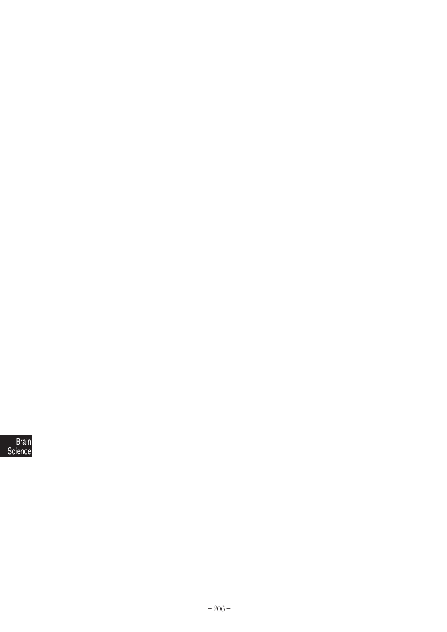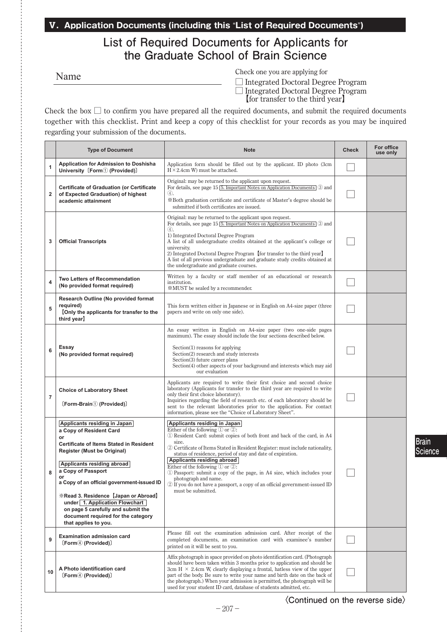# **List of Required Documents for Applicants for the Graduate School of Brain Science**

Name

Check one you are applying for

□ Integrated Doctoral Degree Program

Integrated Doctoral Degree Program

【for transfer to the third year】

Check the box  $\Box$  to confirm you have prepared all the required documents, and submit the required documents together with this checklist. Print and keep a copy of this checklist for your records as you may be inquired regarding your submission of the documents.

|                | <b>Type of Document</b>                                                                                                                                                                                                                                                                                                                                                                                                                                  | <b>Note</b>                                                                                                                                                                                                                                                                                                                                                                                                                                                                                                                                                                                                        | <b>Check</b> | For office<br>use only |
|----------------|----------------------------------------------------------------------------------------------------------------------------------------------------------------------------------------------------------------------------------------------------------------------------------------------------------------------------------------------------------------------------------------------------------------------------------------------------------|--------------------------------------------------------------------------------------------------------------------------------------------------------------------------------------------------------------------------------------------------------------------------------------------------------------------------------------------------------------------------------------------------------------------------------------------------------------------------------------------------------------------------------------------------------------------------------------------------------------------|--------------|------------------------|
| 1              | <b>Application for Admission to Doshisha</b><br>University [Form① (Provided)]                                                                                                                                                                                                                                                                                                                                                                            | Application form should be filled out by the applicant. ID photo (3cm)<br>$H \times 2.4$ cm W) must be attached.                                                                                                                                                                                                                                                                                                                                                                                                                                                                                                   |              |                        |
| $\overline{2}$ | <b>Certificate of Graduation (or Certificate</b><br>of Expected Graduation) of highest<br>academic attainment                                                                                                                                                                                                                                                                                                                                            | Original: may be returned to the applicant upon request.<br>For details, see page 15 5. Important Notes on Application Documents 3 and<br>$(4)$ .<br>*Both graduation certificate and certificate of Master's degree should be<br>submitted if both certificates are issued.                                                                                                                                                                                                                                                                                                                                       |              |                        |
| 3              | <b>Official Transcripts</b>                                                                                                                                                                                                                                                                                                                                                                                                                              | Original: may be returned to the applicant upon request.<br>For details, see page 15 5. Important Notes on Application Documents 3 and<br>(4).<br>1) Integrated Doctoral Degree Program<br>A list of all undergraduate credits obtained at the applicant's college or<br>university.<br>2) Integrated Doctoral Degree Program [for transfer to the third year]<br>A list of all previous undergraduate and graduate study credits obtained at<br>the undergraduate and graduate courses.                                                                                                                           |              |                        |
| 4              | <b>Two Letters of Recommendation</b><br>(No provided format required)                                                                                                                                                                                                                                                                                                                                                                                    | Written by a faculty or staff member of an educational or research<br>institution.<br>*MUST be sealed by a recommender.                                                                                                                                                                                                                                                                                                                                                                                                                                                                                            |              |                        |
| 5              | Research Outline (No provided format<br>required)<br>Only the applicants for transfer to the<br>third year]                                                                                                                                                                                                                                                                                                                                              | This form written either in Japanese or in English on A4-size paper (three<br>papers and write on only one side).                                                                                                                                                                                                                                                                                                                                                                                                                                                                                                  |              |                        |
| 6              | Essay<br>(No provided format required)                                                                                                                                                                                                                                                                                                                                                                                                                   | An essay written in English on A4-size paper (two one-side pages<br>maximum). The essay should include the four sections described below.<br>Section(1) reasons for applying<br>Section(2) research and study interests<br>Section(3) future career plans<br>Section(4) other aspects of your background and interests which may aid<br>our evaluation                                                                                                                                                                                                                                                             |              |                        |
| 7              | <b>Choice of Laboratory Sheet</b><br>[Form-Brain 1] (Provided)]                                                                                                                                                                                                                                                                                                                                                                                          | Applicants are required to write their first choice and second choice<br>laboratory (Applicants for transfer to the third year are required to write<br>only their first choice laboratory).<br>Inquiries regarding the field of research etc. of each laboratory should be<br>sent to the relevant laboratories prior to the application. For contact<br>information, please see the "Choice of Laboratory Sheet".                                                                                                                                                                                                |              |                        |
| 8              | Applicants residing in Japan<br>a Copy of Resident Card<br>or<br><b>Certificate of Items Stated in Resident</b><br><b>Register (Must be Original)</b><br>Applicants residing abroad<br>a Copy of Passport<br>or<br>a Copy of an official government-issued ID<br><b>Example 3. Residence [Japan or Abroad]</b><br>under   1. Application Flowchart  <br>on page 5 carefully and submit the<br>document required for the category<br>that applies to you. | Applicants residing in Japan<br>Either of the following $(1)$ or $(2)$ :<br>1) Resident Card: submit copies of both front and back of the card, in A4<br>size.<br>2 Certificate of Items Stated in Resident Register: must include nationality,<br>status of residence, period of stay and date of expiration.<br>Applicants residing abroad<br>Either of the following $\overline{1}$ or $\overline{2}$ :<br>1) Passport: submit a copy of the page, in A4 size, which includes your<br>photograph and name.<br>2 If you do not have a passport, a copy of an official government-issued ID<br>must be submitted. |              |                        |
| 9              | <b>Examination admission card</b><br>[Form(4) (Provided)]                                                                                                                                                                                                                                                                                                                                                                                                | Please fill out the examination admission card. After receipt of the<br>completed documents, an examination card with examinee's number<br>printed on it will be sent to you.                                                                                                                                                                                                                                                                                                                                                                                                                                      |              |                        |
| 10             | A Photo identification card<br>(Form4) (Provided))                                                                                                                                                                                                                                                                                                                                                                                                       | Affix photograph in space provided on photo identification card. (Photograph<br>should have been taken within 3 months prior to application and should be<br>3cm H $\times$ 2.4cm W, clearly displaying a frontal, hatless view of the upper<br>part of the body. Be sure to write your name and birth date on the back of<br>the photograph.) When your admission is permitted, the photograph will be<br>used for your student ID card, database of students admitted, etc.                                                                                                                                      |              |                        |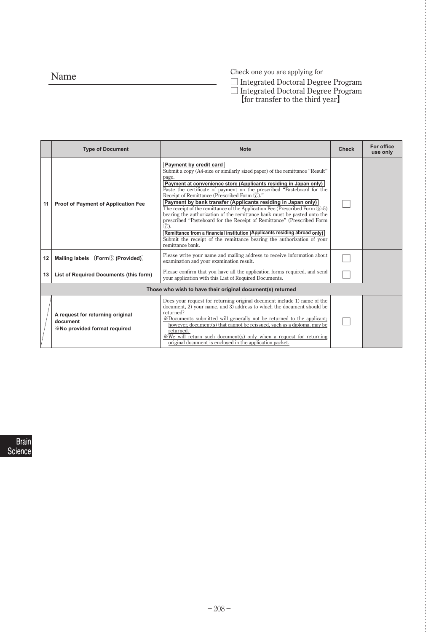Name Check one you are applying for

□ Integrated Doctoral Degree Program

□ Integrated Doctoral Degree Program 【for transfer to the third year】

**Type of Document Note Rowlands Check Check For other proposed <b>Check For other proposed in the check use only 11 Proof of Payment of Application Fee Payment by credit card** Submit a copy (A4-size or similarly sized paper) of the remittance "Result" page. **Payment at convenience store (Applicants residing in Japan only)** Paste the certificate of payment on the prescribed "Pasteboard for the Receipt of Remittance (Prescribed Form 7). **Payment by bank transfer (Applicants residing in Japan only)** The receipt of the remittance of the Application Fee (Prescribed Form  $\overline{6}$ -5) bearing the authorization of the remittance bank must be pasted onto the prescribed "Pasteboard for the Receipt of Remittance" (Prescribed Form ⑦). **Remittance from a financial institution (Applicants residing abroad only)** Submit the receipt of the remittance bearing the authorization of your remittance bank. □ **12 Mailing labels** 〔**Form⑤** (Provided) Please write your name and mailing address to receive information about **■** examination and your examination result. **13 List of Required Documents (this form)** Please confirm that you have all the application forms required, and send Please contirm that you have all the application forms required, and send<br>your application with this List of Required Documents. **Those who wish to have their original document(s) returned A request for returning original document ※No provided format required** Does your request for returning original document include 1) name of the document, 2) your name, and 3) address to which the document should be returned? ※ Documents submitted will generally not be returned to the applicant; however, document(s) that cannot be reissued, such as a diploma, may be returned. ※ We will return such document(s) only when a request for returning original document is enclosed in the application packet. □

**Brain Science**